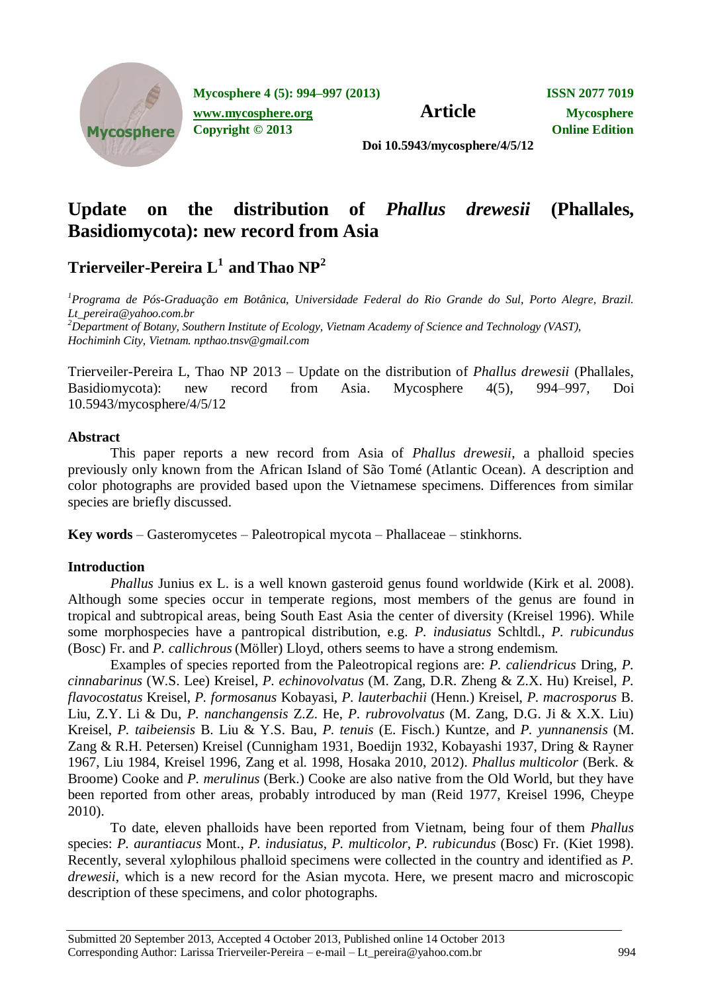

**Mycosphere 4 (5): 994–997 (2013) ISSN 2077 7019**

**[www.mycosphere.org](http://www.mycosphere.org/) Article Mycosphere** 

**Copyright © 2013 Online Edition**

**Doi 10.5943/mycosphere/4/5/12**

# **Update on the distribution of** *Phallus drewesii* **(Phallales, Basidiomycota): new record from Asia**

## **Trierveiler-Pereira L<sup>1</sup>and Thao NP<sup>2</sup>**

*<sup>1</sup>Programa de Pós-Graduação em Botânica, Universidade Federal do Rio Grande do Sul, Porto Alegre, Brazil. Lt\_pereira@yahoo.com.br <sup>2</sup>Department of Botany, Southern Institute of Ecology, Vietnam Academy of Science and Technology (VAST), Hochiminh City, Vietnam. npthao.tnsv@gmail.com*

Trierveiler-Pereira L, Thao NP 2013 – Update on the distribution of *Phallus drewesii* (Phallales, Basidiomycota): new record from Asia. Mycosphere 4(5), 994–997, Doi 10.5943/mycosphere/4/5/12

## **Abstract**

This paper reports a new record from Asia of *Phallus drewesii*, a phalloid species previously only known from the African Island of São Tomé (Atlantic Ocean). A description and color photographs are provided based upon the Vietnamese specimens. Differences from similar species are briefly discussed.

**Key words** – Gasteromycetes – Paleotropical mycota – Phallaceae – stinkhorns.

## **Introduction**

*Phallus* Junius ex L. is a well known gasteroid genus found worldwide (Kirk et al. 2008). Although some species occur in temperate regions, most members of the genus are found in tropical and subtropical areas, being South East Asia the center of diversity (Kreisel 1996). While some morphospecies have a pantropical distribution, e.g. *P. indusiatus* Schltdl., *P. rubicundus*  (Bosc) Fr. and *P. callichrous* (Möller) Lloyd, others seems to have a strong endemism.

Examples of species reported from the Paleotropical regions are: *P. caliendricus* Dring, *P. cinnabarinus* (W.S. Lee) Kreisel, *P. echinovolvatus* (M. Zang, D.R. Zheng & Z.X. Hu) Kreisel, *P. flavocostatus* Kreisel, *P. formosanus* Kobayasi, *P. lauterbachii* (Henn.) Kreisel, *P. macrosporus* B. Liu, Z.Y. Li & Du, *P. nanchangensis* Z.Z. He, *P. rubrovolvatus* (M. Zang, D.G. Ji & X.X. Liu) Kreisel, *P. taibeiensis* B. Liu & Y.S. Bau, *P. tenuis* (E. Fisch.) Kuntze, and *P. yunnanensis* (M. Zang & R.H. Petersen) Kreisel (Cunnigham 1931, Boedijn 1932, Kobayashi 1937, Dring & Rayner 1967, Liu 1984, Kreisel 1996, Zang et al. 1998, Hosaka 2010, 2012). *Phallus multicolor* (Berk. & Broome) Cooke and *P. merulinus* (Berk.) Cooke are also native from the Old World, but they have been reported from other areas, probably introduced by man (Reid 1977, Kreisel 1996, Cheype 2010).

To date, eleven phalloids have been reported from Vietnam, being four of them *Phallus* species: *P. aurantiacus* Mont., *P. indusiatus*, *P. multicolor*, *P. rubicundus* (Bosc) Fr. (Kiet 1998). Recently, several xylophilous phalloid specimens were collected in the country and identified as *P. drewesii*, which is a new record for the Asian mycota. Here, we present macro and microscopic description of these specimens, and color photographs.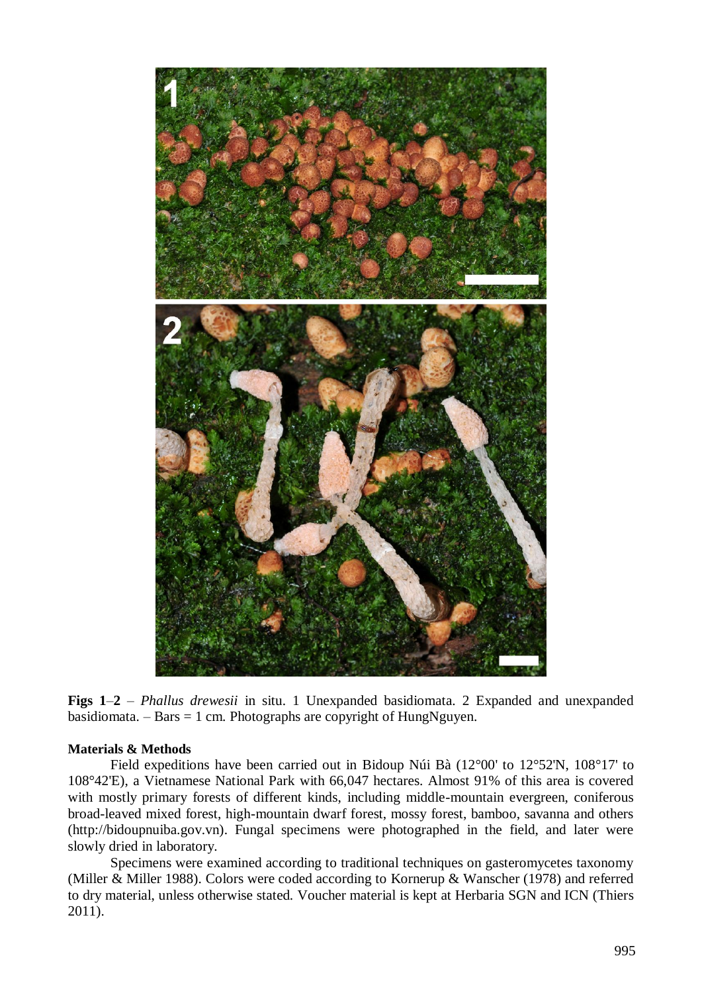

**Figs 1**–**2** – *Phallus drewesii* in situ. 1 Unexpanded basidiomata. 2 Expanded and unexpanded basidiomata. – Bars  $= 1$  cm. Photographs are copyright of HungNguyen.

#### **Materials & Methods**

Field expeditions have been carried out in Bidoup Núi Bà (12°00' to 12°52'N, 108°17' to 108°42'E), a Vietnamese National Park with 66,047 hectares. Almost 91% of this area is covered with mostly primary forests of different kinds, including middle-mountain evergreen, coniferous broad-leaved mixed forest, high-mountain dwarf forest, mossy forest, bamboo, savanna and others (http://bidoupnuiba.gov.vn). Fungal specimens were photographed in the field, and later were slowly dried in laboratory.

Specimens were examined according to traditional techniques on gasteromycetes taxonomy (Miller & Miller 1988). Colors were coded according to Kornerup & Wanscher (1978) and referred to dry material, unless otherwise stated. Voucher material is kept at Herbaria SGN and ICN (Thiers 2011).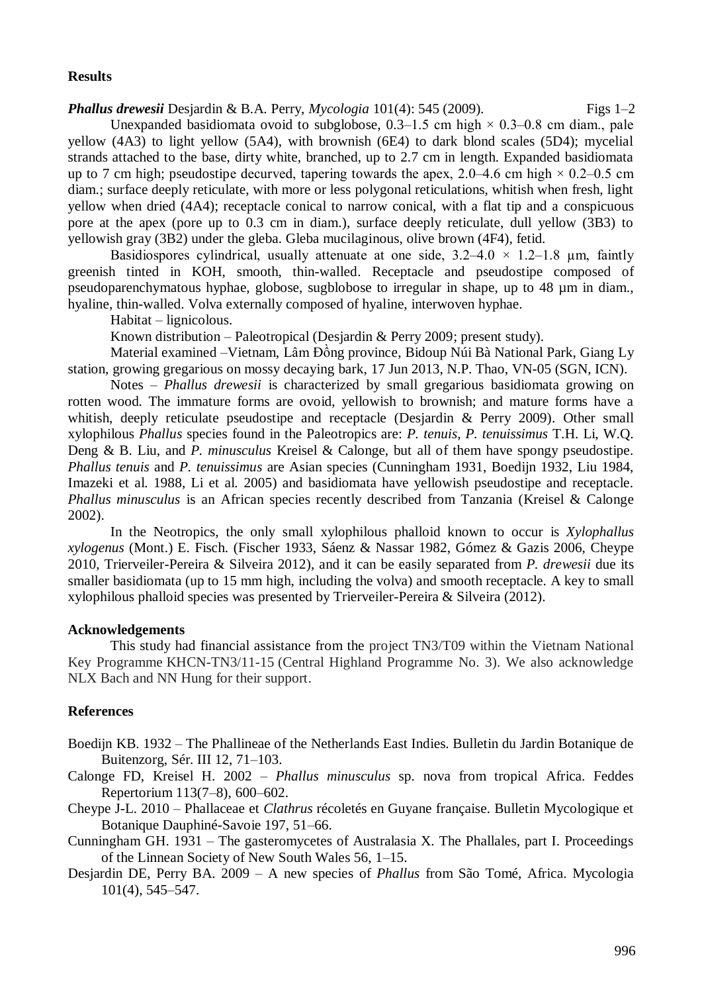### **Results**

*Phallus drewesii* Desjardin & B.A. Perry, *Mycologia* 101(4): 545 (2009). Figs 1–2 Unexpanded basidiomata ovoid to subglobose,  $0.3-1.5$  cm high  $\times$  0.3–0.8 cm diam., pale yellow (4A3) to light yellow (5A4), with brownish (6E4) to dark blond scales (5D4); mycelial strands attached to the base, dirty white, branched, up to 2.7 cm in length. Expanded basidiomata up to 7 cm high; pseudostipe decurved, tapering towards the apex, 2.0–4.6 cm high  $\times$  0.2–0.5 cm diam.; surface deeply reticulate, with more or less polygonal reticulations, whitish when fresh, light yellow when dried (4A4); receptacle conical to narrow conical, with a flat tip and a conspicuous pore at the apex (pore up to 0.3 cm in diam.), surface deeply reticulate, dull yellow (3B3) to yellowish gray (3B2) under the gleba. Gleba mucilaginous, olive brown (4F4), fetid.

Basidiospores cylindrical, usually attenuate at one side,  $3.2-4.0 \times 1.2-1.8$  µm, faintly greenish tinted in KOH, smooth, thin-walled. Receptacle and pseudostipe composed of pseudoparenchymatous hyphae, globose, sugblobose to irregular in shape, up to 48 µm in diam., hyaline, thin-walled. Volva externally composed of hyaline, interwoven hyphae.

Habitat – lignicolous.

Known distribution – Paleotropical (Desjardin & Perry 2009; present study).

Material examined –Vietnam, Lâm Đồng province, Bidoup Núi Bà National Park, Giang Ly station, growing gregarious on mossy decaying bark, 17 Jun 2013, N.P. Thao, VN-05 (SGN, ICN).

Notes – *Phallus drewesii* is characterized by small gregarious basidiomata growing on rotten wood. The immature forms are ovoid, yellowish to brownish; and mature forms have a whitish, deeply reticulate pseudostipe and receptacle (Desjardin & Perry 2009). Other small xylophilous *Phallus* species found in the Paleotropics are: *P. tenuis*, *P. tenuissimus* T.H. Li, W.Q. Deng & B. Liu, and *P. minusculus* Kreisel & Calonge, but all of them have spongy pseudostipe. *Phallus tenuis* and *P. tenuissimus* are Asian species (Cunningham 1931, Boedijn 1932, Liu 1984, Imazeki et al. 1988, Li et al. 2005) and basidiomata have yellowish pseudostipe and receptacle. *Phallus minusculus* is an African species recently described from Tanzania (Kreisel & Calonge 2002).

In the Neotropics, the only small xylophilous phalloid known to occur is *Xylophallus xylogenus* (Mont.) E. Fisch. (Fischer 1933, Sáenz & Nassar 1982, Gómez & Gazis 2006, Cheype 2010, Trierveiler-Pereira & Silveira 2012), and it can be easily separated from *P. drewesii* due its smaller basidiomata (up to 15 mm high, including the volva) and smooth receptacle. A key to small xylophilous phalloid species was presented by Trierveiler-Pereira & Silveira (2012).

## **Acknowledgements**

This study had financial assistance from the project TN3/T09 within the Vietnam National Key Programme KHCN-TN3/11-15 (Central Highland Programme No. 3). We also acknowledge NLX Bach and NN Hung for their support.

#### **References**

- Boedijn KB. 1932 The Phallineae of the Netherlands East Indies. Bulletin du Jardin Botanique de Buitenzorg, Sér. III 12, 71–103.
- Calonge FD, Kreisel H. 2002 *Phallus minusculus* sp. nova from tropical Africa. Feddes Repertorium 113(7–8), 600–602.
- Cheype J-L. 2010 Phallaceae et *Clathrus* récoletés en Guyane française. Bulletin Mycologique et Botanique Dauphiné-Savoie 197, 51–66.
- Cunningham GH. 1931 The gasteromycetes of Australasia X. The Phallales, part I. Proceedings of the Linnean Society of New South Wales 56, 1–15.
- Desjardin DE, Perry BA. 2009 A new species of *Phallus* from São Tomé, Africa. Mycologia 101(4), 545–547.